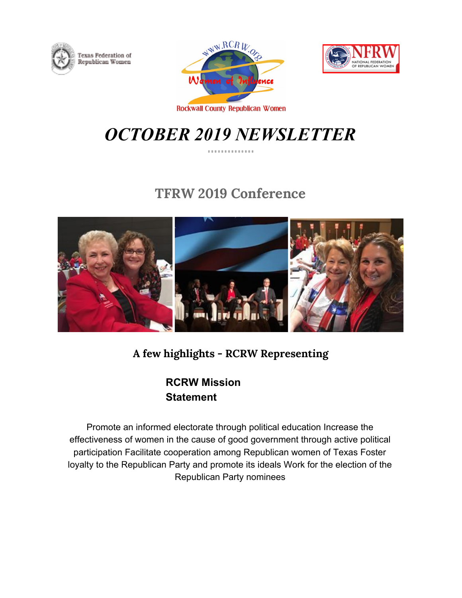





**Rockwall County Republican Women** 

# *OCTOBER 2019 NEWSLETTER*

## **TFRW 2019 Conference**



**A few highlights - RCRW Representing**

**RCRW Mission Statement**

Promote an informed electorate through political education Increase the effectiveness of women in the cause of good government through active political participation Facilitate cooperation among Republican women of Texas Foster loyalty to the Republican Party and promote its ideals Work for the election of the Republican Party nominees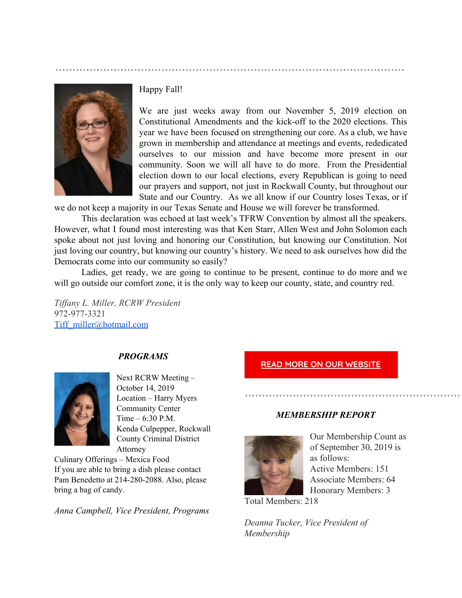

### Happy Fall!

We are just weeks away from our November 5, 2019 election on Constitutional Amendments and the kick-off to the 2020 elections. This year we have been focused on strengthening our core. As a club, we have grown in membership and attendance at meetings and events, rededicated ourselves to our mission and have become more present in our community. Soon we will all have to do more. From the Presidential election down to our local elections, every Republican is going to need our prayers and support, not just in Rockwall County, but throughout our State and our Country. As we all know if our Country loses Texas, or if

we do not keep a majority in our Texas Senate and House we will forever be transformed.

This declaration was echoed at last week's TFRW Convention by almost all the speakers. However, what I found most interesting was that Ken Starr, Allen West and John Solomon each spoke about not just loving and honoring our Constitution, but knowing our Constitution. Not just loving our country, but knowing our country's history. We need to ask ourselves how did the Democrats come into our community so easily?

Ladies, get ready, we are going to continue to be present, continue to do more and we will go outside our comfort zone, it is the only way to keep our county, state, and country red.

*Tiffany L. Miller, RCRW President* 972-977-3321 [Tiff\\_miller@hotmail.com](mailto:Tiff_miller@hotmail.com)

### *PROGRAMS*



Next RCRW Meeting – October 14, 2019 Location – Harry Myers Community Center Time – 6:30 P.M. Kenda Culpepper, Rockwall County Criminal District Attorney

Culinary Offerings – Mexica Food If you are able to bring a dish please contact Pam Benedetto at 214-280-2088. Also, please bring a bag of candy.

*Anna Campbell, Vice President, Programs*

### **READ MORE ON OUR [WEBSITE](http://www.google.com/)**

### *MEMBERSHIP REPORT*



Our Membership Count as of September 30, 2019 is as follows: Active Members: 151 Associate Members: 64 Honorary Members: 3

Total Members: 218

*Deanna Tucker, Vice President of Membership*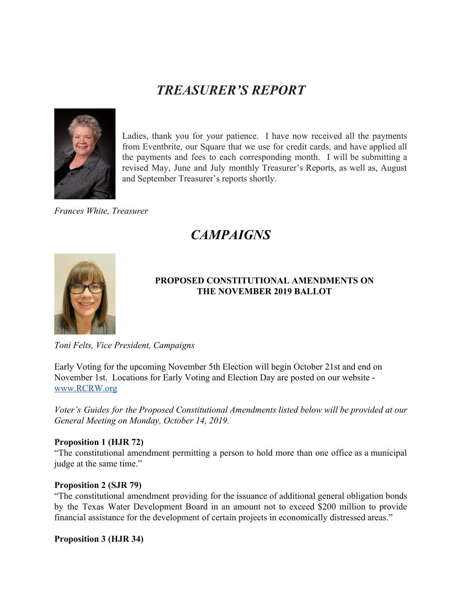## *TREASURER'S REPORT*



Ladies, thank you for your patience. I have now received all the payments from Eventbrite, our Square that we use for credit cards, and have applied all the payments and fees to each corresponding month. I will be submitting a revised May, June and July monthly Treasurer's Reports, as well as, August and September Treasurer's reports shortly.

*Frances White, Treasurer*

## *CAMPAIGNS*



### **PROPOSED CONSTITUTIONAL AMENDMENTS ON THE NOVEMBER 2019 BALLOT**

*Toni Felts, Vice President, Campaigns*

Early Voting for the upcoming November 5th Election will begin October 21st and end on November 1st. Locations for Early Voting and Election Day are posted on our website [www.RCRW.org](http://www.rcrw.org/)

*Voter's Guides for the Proposed Constitutional Amendments listed below will be provided at our General Meeting on Monday, October 14, 2019.*

### **Proposition 1 (HJR 72)**

"The constitutional amendment permitting a person to hold more than one office as a municipal judge at the same time."

### **Proposition 2 (SJR 79)**

"The constitutional amendment providing for the issuance of additional general obligation bonds by the Texas Water Development Board in an amount not to exceed \$200 million to provide financial assistance for the development of certain projects in economically distressed areas."

**Proposition 3 (HJR 34)**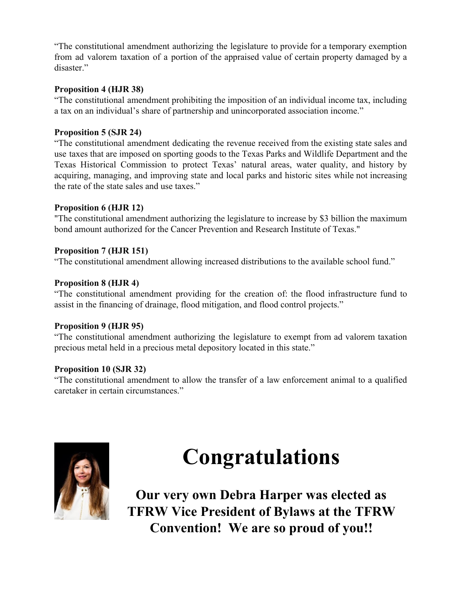"The constitutional amendment authorizing the legislature to provide for a temporary exemption from ad valorem taxation of a portion of the appraised value of certain property damaged by a disaster."

### **Proposition 4 (HJR 38)**

"The constitutional amendment prohibiting the imposition of an individual income tax, including a tax on an individual's share of partnership and unincorporated association income."

### **Proposition 5 (SJR 24)**

"The constitutional amendment dedicating the revenue received from the existing state sales and use taxes that are imposed on sporting goods to the Texas Parks and Wildlife Department and the Texas Historical Commission to protect Texas' natural areas, water quality, and history by acquiring, managing, and improving state and local parks and historic sites while not increasing the rate of the state sales and use taxes."

### **Proposition 6 (HJR 12)**

"The constitutional amendment authorizing the legislature to increase by \$3 billion the maximum bond amount authorized for the Cancer Prevention and Research Institute of Texas."

### **Proposition 7 (HJR 151)**

"The constitutional amendment allowing increased distributions to the available school fund."

### **Proposition 8 (HJR 4)**

"The constitutional amendment providing for the creation of: the flood infrastructure fund to assist in the financing of drainage, flood mitigation, and flood control projects."

### **Proposition 9 (HJR 95)**

"The constitutional amendment authorizing the legislature to exempt from ad valorem taxation precious metal held in a precious metal depository located in this state."

### **Proposition 10 (SJR 32)**

"The constitutional amendment to allow the transfer of a law enforcement animal to a qualified caretaker in certain circumstances."



# **Congratulations**

**Our very own Debra Harper was elected as TFRW Vice President of Bylaws at the TFRW Convention! We are so proud of you!!**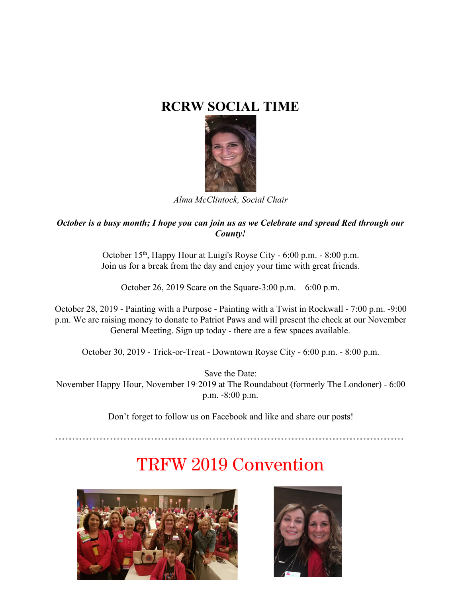## **RCRW SOCIAL TIME**



*Alma McClintock, Social Chair*

### *October is a busy month; I hope you can join us as we Celebrate and spread Red through our County!*

October 15<sup>th</sup>, Happy Hour at Luigi's Royse City - 6:00 p.m. - 8:00 p.m. Join us for a break from the day and enjoy your time with great friends.

October 26, 2019 Scare on the Square-3:00 p.m. – 6:00 p.m.

October 28, 2019 - Painting with a Purpose - Painting with a Twist in Rockwall - 7:00 p.m. -9:00 p.m. We are raising money to donate to Patriot Paws and will present the check at our November General Meeting. Sign up today - there are a few spaces available.

October 30, 2019 - Trick-or-Treat - Downtown Royse City - 6:00 p.m. - 8:00 p.m.

Save the Date: November Happy Hour, November 19, 2019 at The Roundabout (formerly The Londoner) - 6:00 p.m. -8:00 p.m.

Don't forget to follow us on Facebook and like and share our posts!

# TRFW 2019 Convention



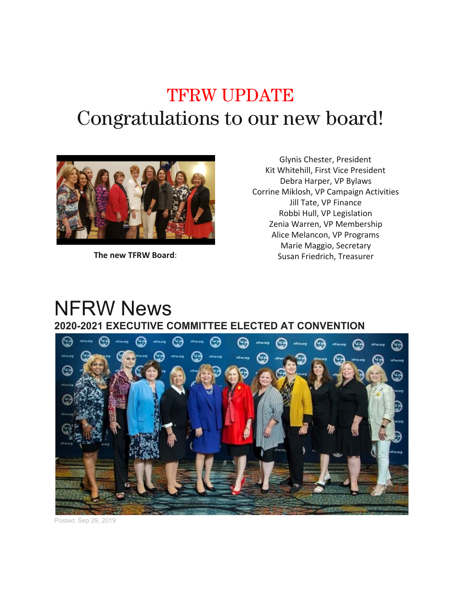# TFRW UPDATE Congratulations to our new board!



**The new TFRW Board**:

Glynis Chester, President Kit Whitehill, First Vice President Debra Harper, VP Bylaws Corrine Miklosh, VP Campaign Activities Jill Tate, VP Finance Robbi Hull, VP Legislation Zenia Warren, VP Membership Alice Melancon, VP Programs Marie Maggio, Secretary Susan Friedrich, Treasurer

## NFRW News **2020-2021 EXECUTIVE COMMITTEE ELECTED AT CONVENTION**



Posted: Sep 29, 2019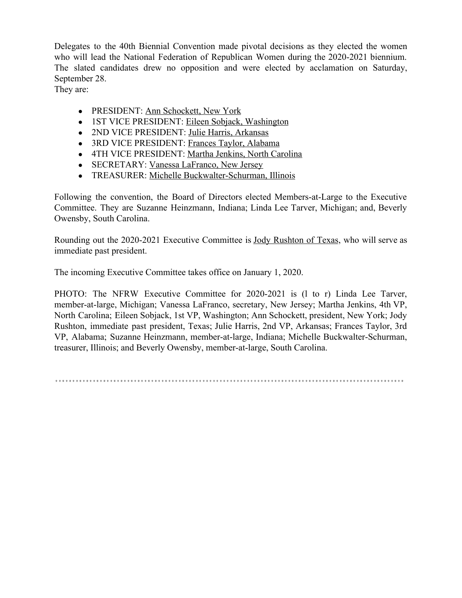Delegates to the 40th Biennial Convention made pivotal decisions as they elected the women who will lead the National Federation of Republican Women during the 2020-2021 biennium. The slated candidates drew no opposition and were elected by acclamation on Saturday, September 28.

They are:

- PRESIDENT: [Ann Schockett, New York](https://nam04.safelinks.protection.outlook.com/?url=http%3A%2F%2Fwww.nfrw.org%2Fconvention-indianapolis-schockett&data=02%7C01%7C%7C1425271704b24f2c00d308d7467b4450%7C84df9e7fe9f640afb435aaaaaaaaaaaa%7C1%7C0%7C637055367542248022&sdata=qZHUfe%2FM7utRNAp%2BtpOYcZVaRQvMSD8lp7bk43OejtA%3D&reserved=0)
- 1ST VICE PRESIDENT: [Eileen Sobjack, Washington](https://nam04.safelinks.protection.outlook.com/?url=http%3A%2F%2Fwww.nfrw.org%2Fconvention-indianapolis-sobjack&data=02%7C01%7C%7C1425271704b24f2c00d308d7467b4450%7C84df9e7fe9f640afb435aaaaaaaaaaaa%7C1%7C0%7C637055367542258027&sdata=qfjlqIlqQw4MB%2BM7r%2B1SGGoB4Ew0BAapVtAfkeklTU4%3D&reserved=0)
- 2ND VICE PRESIDENT: [Julie Harris, Arkansas](https://nam04.safelinks.protection.outlook.com/?url=http%3A%2F%2Fwww.nfrw.org%2Fconvention-indianapolis-harris&data=02%7C01%7C%7C1425271704b24f2c00d308d7467b4450%7C84df9e7fe9f640afb435aaaaaaaaaaaa%7C1%7C0%7C637055367542268032&sdata=TCeFnv39hCczwPjCwocPDDO4zPcfbzrOGHu9ofMkRe0%3D&reserved=0)
- 3RD VICE PRESIDENT: [Frances Taylor, Alabama](https://nam04.safelinks.protection.outlook.com/?url=http%3A%2F%2Fwww.nfrw.org%2Fconvention-indianapolis-taylor&data=02%7C01%7C%7C1425271704b24f2c00d308d7467b4450%7C84df9e7fe9f640afb435aaaaaaaaaaaa%7C1%7C0%7C637055367542278038&sdata=EeTVlXa2lylQ3J8suyapT9cNYwoe6I%2BPruuFew%2FsgvU%3D&reserved=0)
- 4TH VICE PRESIDENT: [Martha Jenkins, North Carolina](https://nam04.safelinks.protection.outlook.com/?url=http%3A%2F%2Fwww.nfrw.org%2Fconvention-indianapolis-jenkins&data=02%7C01%7C%7C1425271704b24f2c00d308d7467b4450%7C84df9e7fe9f640afb435aaaaaaaaaaaa%7C1%7C0%7C637055367542288037&sdata=%2FDIVuD1HE%2F3ddeaJT3FbxjLuBCP9xNbes4UgJQhdGSM%3D&reserved=0)
- SECRETARY: [Vanessa LaFranco, New Jersey](https://nam04.safelinks.protection.outlook.com/?url=http%3A%2F%2Fwww.nfrw.org%2Fconvention-indianapolis-lafranco&data=02%7C01%7C%7C1425271704b24f2c00d308d7467b4450%7C84df9e7fe9f640afb435aaaaaaaaaaaa%7C1%7C0%7C637055367542298054&sdata=4V%2Bo%2FIfD7bHl2dukb2pV7NCWXNLH7miZZCmzVT4oO7A%3D&reserved=0)
- TREASURER: [Michelle Buckwalter-Schurman, Illinois](https://nam04.safelinks.protection.outlook.com/?url=http%3A%2F%2Fwww.nfrw.org%2Fconvention-indianapolis-buckwalter-schurman&data=02%7C01%7C%7C1425271704b24f2c00d308d7467b4450%7C84df9e7fe9f640afb435aaaaaaaaaaaa%7C1%7C0%7C637055367542308053&sdata=7h7zbhmGzxsDQnl6omKk1pwD0bpeTx5nQA5p2Q9fvVY%3D&reserved=0)

Following the convention, the Board of Directors elected Members-at-Large to the Executive Committee. They are Suzanne Heinzmann, Indiana; Linda Lee Tarver, Michigan; and, Beverly Owensby, South Carolina.

Rounding out the 2020-2021 Executive Committee is Jody [Rushton](https://nam04.safelinks.protection.outlook.com/?url=http%3A%2F%2Fwww.nfrw.org%2Frushton&data=02%7C01%7C%7C1425271704b24f2c00d308d7467b4450%7C84df9e7fe9f640afb435aaaaaaaaaaaa%7C1%7C0%7C637055367542318059&sdata=MTzAsgObG3hXKidedg0STFPeLBwpV1ymjm%2BMPyTIdVE%3D&reserved=0) of Texas, who will serve as immediate past president.

The incoming Executive Committee takes office on January 1, 2020.

PHOTO: The NFRW Executive Committee for 2020-2021 is (1 to r) Linda Lee Tarver, member-at-large, Michigan; Vanessa LaFranco, secretary, New Jersey; Martha Jenkins, 4th VP, North Carolina; Eileen Sobjack, 1st VP, Washington; Ann Schockett, president, New York; Jody Rushton, immediate past president, Texas; Julie Harris, 2nd VP, Arkansas; Frances Taylor, 3rd VP, Alabama; Suzanne Heinzmann, member-at-large, Indiana; Michelle Buckwalter-Schurman, treasurer, Illinois; and Beverly Owensby, member-at-large, South Carolina.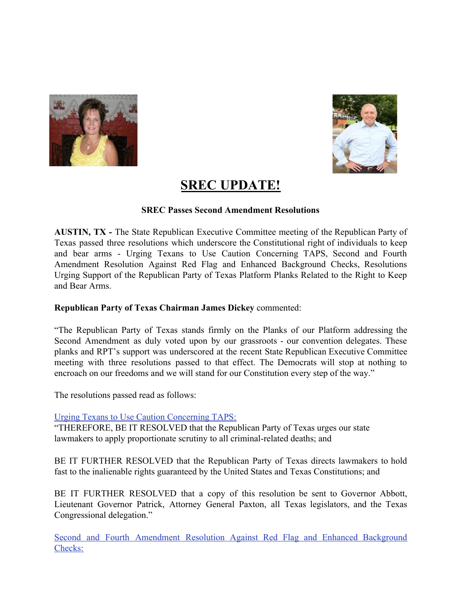



### **SREC UPDATE!**

### **SREC Passes Second Amendment Resolutions**

**AUSTIN, TX -** The State Republican Executive Committee meeting of the Republican Party of Texas passed three resolutions which underscore the Constitutional right of individuals to keep and bear arms - Urging Texans to Use Caution Concerning TAPS, Second and Fourth Amendment Resolution Against Red Flag and Enhanced Background Checks, Resolutions Urging Support of the Republican Party of Texas Platform Planks Related to the Right to Keep and Bear Arms.

### **Republican Party of Texas Chairman James Dickey** commented:

"The Republican Party of Texas stands firmly on the Planks of our Platform addressing the Second Amendment as duly voted upon by our grassroots - our convention delegates. These planks and RPT's support was underscored at the recent State Republican Executive Committee meeting with three resolutions passed to that effect. The Democrats will stop at nothing to encroach on our freedoms and we will stand for our Constitution every step of the way."

The resolutions passed read as follows:

### [Urging Texans to Use Caution Concerning TAPS:](https://texasgop.createsend1.com/t/j-l-clihydk-jydrlitjti-r/)

"THEREFORE, BE IT RESOLVED that the Republican Party of Texas urges our state lawmakers to apply proportionate scrutiny to all criminal-related deaths; and

BE IT FURTHER RESOLVED that the Republican Party of Texas directs lawmakers to hold fast to the inalienable rights guaranteed by the United States and Texas Constitutions; and

BE IT FURTHER RESOLVED that a copy of this resolution be sent to Governor Abbott, Lieutenant Governor Patrick, Attorney General Paxton, all Texas legislators, and the Texas Congressional delegation."

Second and Fourth [Amendment](https://texasgop.createsend1.com/t/j-l-clihydk-jydrlitjti-y/) Resolution Against Red Flag and Enhanced Background [Checks:](https://texasgop.createsend1.com/t/j-l-clihydk-jydrlitjti-y/)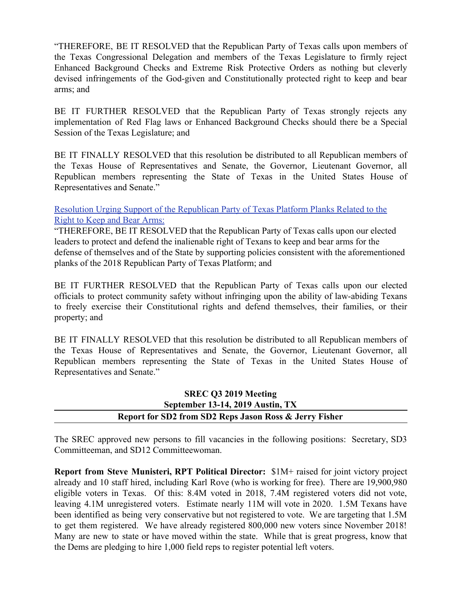"THEREFORE, BE IT RESOLVED that the Republican Party of Texas calls upon members of the Texas Congressional Delegation and members of the Texas Legislature to firmly reject Enhanced Background Checks and Extreme Risk Protective Orders as nothing but cleverly devised infringements of the God-given and Constitutionally protected right to keep and bear arms; and

BE IT FURTHER RESOLVED that the Republican Party of Texas strongly rejects any implementation of Red Flag laws or Enhanced Background Checks should there be a Special Session of the Texas Legislature; and

BE IT FINALLY RESOLVED that this resolution be distributed to all Republican members of the Texas House of Representatives and Senate, the Governor, Lieutenant Governor, all Republican members representing the State of Texas in the United States House of Representatives and Senate."

[Resolution Urging Support of the Republican Party of Texas Platform Planks Related to the](https://texasgop.createsend1.com/t/j-l-clihydk-jydrlitjti-j/) [Right to Keep and Bear Arms:](https://texasgop.createsend1.com/t/j-l-clihydk-jydrlitjti-j/)

"THEREFORE, BE IT RESOLVED that the Republican Party of Texas calls upon our elected leaders to protect and defend the inalienable right of Texans to keep and bear arms for the defense of themselves and of the State by supporting policies consistent with the aforementioned planks of the 2018 Republican Party of Texas Platform; and

BE IT FURTHER RESOLVED that the Republican Party of Texas calls upon our elected officials to protect community safety without infringing upon the ability of law-abiding Texans to freely exercise their Constitutional rights and defend themselves, their families, or their property; and

BE IT FINALLY RESOLVED that this resolution be distributed to all Republican members of the Texas House of Representatives and Senate, the Governor, Lieutenant Governor, all Republican members representing the State of Texas in the United States House of Representatives and Senate."

### **SREC Q3 2019 Meeting September 13-14, 2019 Austin, TX Report for SD2 from SD2 Reps Jason Ross & Jerry Fisher**

The SREC approved new persons to fill vacancies in the following positions: Secretary, SD3 Committeeman, and SD12 Committeewoman.

**Report from Steve Munisteri, RPT Political Director:** \$1M+ raised for joint victory project already and 10 staff hired, including Karl Rove (who is working for free). There are 19,900,980 eligible voters in Texas. Of this: 8.4M voted in 2018, 7.4M registered voters did not vote, leaving 4.1M unregistered voters. Estimate nearly 11M will vote in 2020. 1.5M Texans have been identified as being very conservative but not registered to vote. We are targeting that 1.5M to get them registered. We have already registered 800,000 new voters since November 2018! Many are new to state or have moved within the state. While that is great progress, know that the Dems are pledging to hire 1,000 field reps to register potential left voters.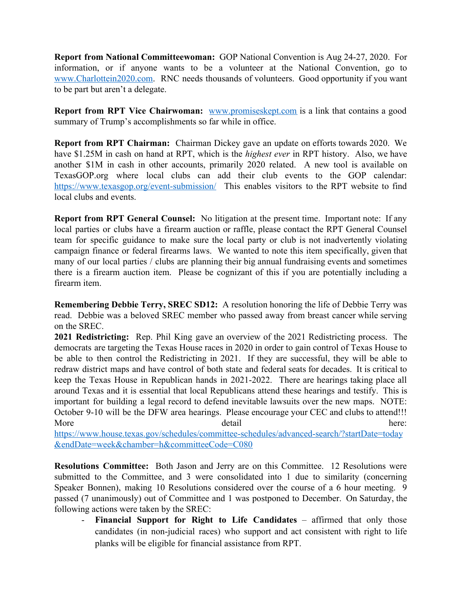**Report from National Committeewoman:** GOP National Convention is Aug 24-27, 2020. For information, or if anyone wants to be a volunteer at the National Convention, go to [www.Charlottein2020.com](http://www.charlottein2020.com/). RNC needs thousands of volunteers. Good opportunity if you want to be part but aren't a delegate.

**Report from RPT Vice Chairwoman:** [www.promiseskept.com](http://www.promiseskept.com/) is a link that contains a good summary of Trump's accomplishments so far while in office.

**Report from RPT Chairman:** Chairman Dickey gave an update on efforts towards 2020. We have \$1.25M in cash on hand at RPT, which is the *highest ever* in RPT history. Also, we have another \$1M in cash in other accounts, primarily 2020 related. A new tool is available on TexasGOP.org where local clubs can add their club events to the GOP calendar: <https://www.texasgop.org/event-submission/> This enables visitors to the RPT website to find local clubs and events.

**Report from RPT General Counsel:** No litigation at the present time. Important note: If any local parties or clubs have a firearm auction or raffle, please contact the RPT General Counsel team for specific guidance to make sure the local party or club is not inadvertently violating campaign finance or federal firearms laws. We wanted to note this item specifically, given that many of our local parties / clubs are planning their big annual fundraising events and sometimes there is a firearm auction item. Please be cognizant of this if you are potentially including a firearm item.

**Remembering Debbie Terry, SREC SD12:** A resolution honoring the life of Debbie Terry was read. Debbie was a beloved SREC member who passed away from breast cancer while serving on the SREC.

**2021 Redistricting:** Rep. Phil King gave an overview of the 2021 Redistricting process. The democrats are targeting the Texas House races in 2020 in order to gain control of Texas House to be able to then control the Redistricting in 2021. If they are successful, they will be able to redraw district maps and have control of both state and federal seats for decades. It is critical to keep the Texas House in Republican hands in 2021-2022. There are hearings taking place all around Texas and it is essential that local Republicans attend these hearings and testify. This is important for building a legal record to defend inevitable lawsuits over the new maps. NOTE: October 9-10 will be the DFW area hearings. Please encourage your CEC and clubs to attend!!! More detail here:

[https://www.house.texas.gov/schedules/committee-schedules/advanced-search/?startDate=today](https://www.house.texas.gov/schedules/committee-schedules/advanced-search/?startDate=today&endDate=week&chamber=h&committeeCode=C080) [&endDate=week&chamber=h&committeeCode=C080](https://www.house.texas.gov/schedules/committee-schedules/advanced-search/?startDate=today&endDate=week&chamber=h&committeeCode=C080)

**Resolutions Committee:** Both Jason and Jerry are on this Committee. 12 Resolutions were submitted to the Committee, and 3 were consolidated into 1 due to similarity (concerning Speaker Bonnen), making 10 Resolutions considered over the course of a 6 hour meeting. 9 passed (7 unanimously) out of Committee and 1 was postponed to December. On Saturday, the following actions were taken by the SREC:

- **Financial Support for Right to Life Candidates** – affirmed that only those candidates (in non-judicial races) who support and act consistent with right to life planks will be eligible for financial assistance from RPT.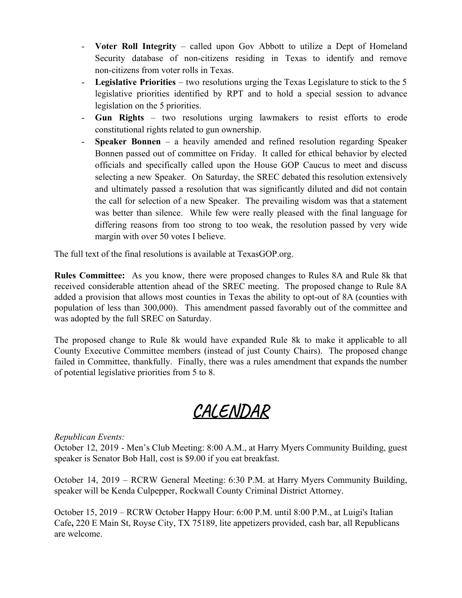- **Voter Roll Integrity** called upon Gov Abbott to utilize a Dept of Homeland Security database of non-citizens residing in Texas to identify and remove non-citizens from voter rolls in Texas.
- **Legislative Priorities** two resolutions urging the Texas Legislature to stick to the 5 legislative priorities identified by RPT and to hold a special session to advance legislation on the 5 priorities.
- **Gun Rights** two resolutions urging lawmakers to resist efforts to erode constitutional rights related to gun ownership.
- **Speaker Bonnen** a heavily amended and refined resolution regarding Speaker Bonnen passed out of committee on Friday. It called for ethical behavior by elected officials and specifically called upon the House GOP Caucus to meet and discuss selecting a new Speaker. On Saturday, the SREC debated this resolution extensively and ultimately passed a resolution that was significantly diluted and did not contain the call for selection of a new Speaker. The prevailing wisdom was that a statement was better than silence. While few were really pleased with the final language for differing reasons from too strong to too weak, the resolution passed by very wide margin with over 50 votes I believe.

The full text of the final resolutions is available at TexasGOP.org.

**Rules Committee:** As you know, there were proposed changes to Rules 8A and Rule 8k that received considerable attention ahead of the SREC meeting. The proposed change to Rule 8A added a provision that allows most counties in Texas the ability to opt-out of 8A (counties with population of less than 300,000). This amendment passed favorably out of the committee and was adopted by the full SREC on Saturday.

The proposed change to Rule 8k would have expanded Rule 8k to make it applicable to all County Executive Committee members (instead of just County Chairs). The proposed change failed in Committee, thankfully. Finally, there was a rules amendment that expands the number of potential legislative priorities from 5 to 8.

## **CALENDAR**

### *Republican Events:*

October 12, 2019 - Men's Club Meeting: 8:00 A.M., at Harry Myers Community Building, guest speaker is Senator Bob Hall, cost is \$9.00 if you eat breakfast.

October 14, 2019 – RCRW General Meeting: 6:30 P.M. at Harry Myers Community Building, speaker will be Kenda Culpepper, Rockwall County Criminal District Attorney.

October 15, 2019 – RCRW October Happy Hour: 6:00 P.M. until 8:00 P.M., at [Luigi's Italian](http://www.luigisitaliancafe.com/) [Cafe](http://www.luigisitaliancafe.com/)**,** [220 E Main St, Royse City, TX 75189,](https://www.bing.com/local?lid=YN825x14076513&id=YN825x14076513&q=Luigi%27s+Italian+Cafe&name=Luigi%27s+Italian+Cafe&cp=32.97577667236328%7e-96.3307876586914&ppois=32.97577667236328_-96.3307876586914_Luigi%27s+Italian+Cafe) lite appetizers provided, cash bar, all Republicans are welcome.